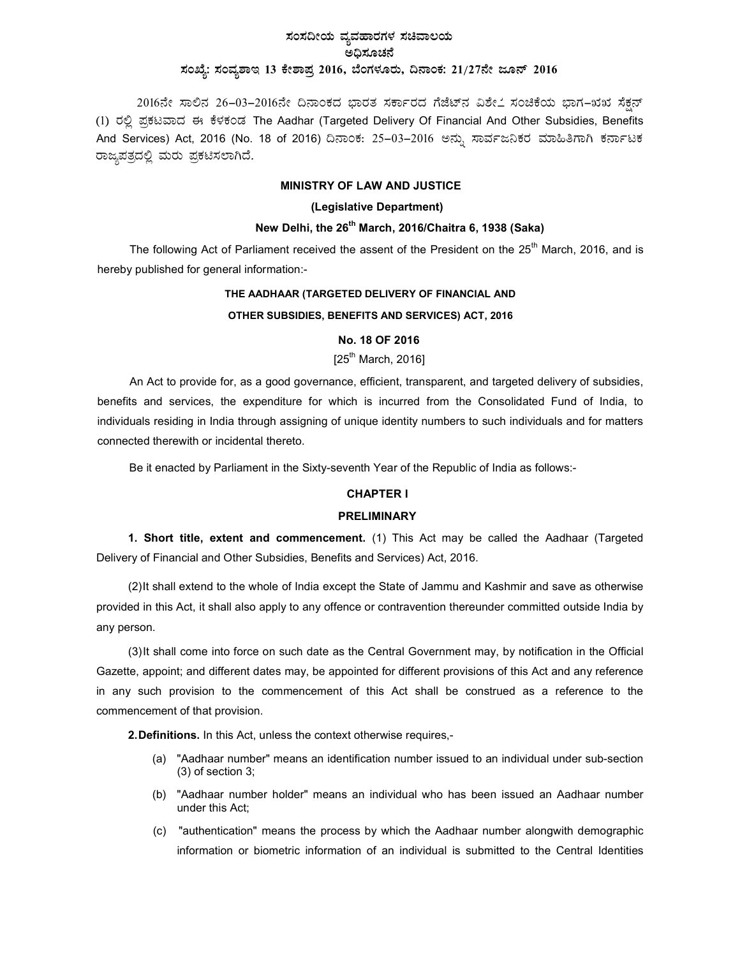# ಸಂಸದೀಯ ವ್ಯವಹಾರಗಳ ಸಚಿವಾಲಯ ಅಧಿಸೂಚನೆ ಸಂಖ್ಯೆ: ಸಂವ್ಯಶಾಇ 13 ಕೇಶಾಪ್ರ 2016, ಬೆಂಗಳೂರು, ದಿನಾಂಕ: 21/27ನೇ ಜೂನ್ 2016

2016ನೇ ಸಾಲಿನ 26-03-2016ನೇ ದಿನಾಂಕದ ಭಾರತ ಸರ್ಕಾರದ ಗೆಜೆಟ್ನ ವಿಶೇ೭ ಸಂಚಿಕೆಯ ಭಾಗ–ಋಋ ಸೆಕ್ಷನ್ (1) ರಲ್ಲಿ ಪ್ರಕಟವಾದ ಈ ಕೆಳಕಂಡ The Aadhar (Targeted Delivery Of Financial And Other Subsidies, Benefits And Services) Act, 2016 (No. 18 of 2016) ದಿನಾಂಕ: 25–03–2016 ಅನ್ನು ಸಾರ್ವಜನಿಕರ ಮಾಹಿತಿಗಾಗಿ ಕರ್ನಾಟಕ ರಾಜ್ಯಪತ್ರದಲ್ಲಿ ಮರು ಪ್ರಕಟಿಸಲಾಗಿದೆ.

# MINISTRY OF LAW AND JUSTICE

## (Legislative Department)

# New Delhi, the 26<sup>th</sup> March, 2016/Chaitra 6, 1938 (Saka)

The following Act of Parliament received the assent of the President on the 25<sup>th</sup> March, 2016, and is hereby published for general information:-

# THE AADHAAR (TARGETED DELIVERY OF FINANCIAL AND

## OTHER SUBSIDIES, BENEFITS AND SERVICES) ACT, 2016

# No. 18 OF 2016

# $[25^{th}$  March, 2016]

An Act to provide for, as a good governance, efficient, transparent, and targeted delivery of subsidies, benefits and services, the expenditure for which is incurred from the Consolidated Fund of India, to individuals residing in India through assigning of unique identity numbers to such individuals and for matters connected therewith or incidental thereto.

Be it enacted by Parliament in the Sixty-seventh Year of the Republic of India as follows:-

# CHAPTER I

## PRELIMINARY

1. Short title, extent and commencement. (1) This Act may be called the Aadhaar (Targeted Delivery of Financial and Other Subsidies, Benefits and Services) Act, 2016.

(2) It shall extend to the whole of India except the State of Jammu and Kashmir and save as otherwise provided in this Act, it shall also apply to any offence or contravention thereunder committed outside India by any person.

(3) It shall come into force on such date as the Central Government may, by notification in the Official Gazette, appoint; and different dates may, be appointed for different provisions of this Act and any reference in any such provision to the commencement of this Act shall be construed as a reference to the commencement of that provision.

2. Definitions. In this Act, unless the context otherwise requires,-

- (a) "Aadhaar number" means an identification number issued to an individual under sub-section (3) of section 3;
- (b) "Aadhaar number holder" means an individual who has been issued an Aadhaar number under this Act;
- (c) "authentication" means the process by which the Aadhaar number alongwith demographic information or biometric information of an individual is submitted to the Central Identities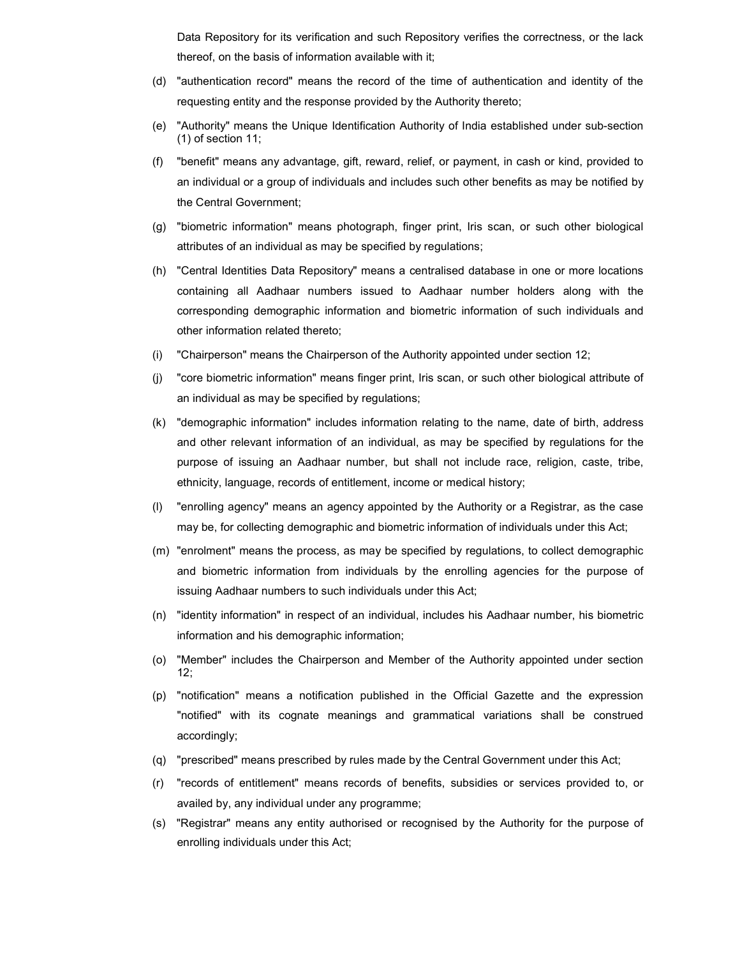Data Repository for its verification and such Repository verifies the correctness, or the lack thereof, on the basis of information available with it;

- (d) "authentication record" means the record of the time of authentication and identity of the requesting entity and the response provided by the Authority thereto;
- (e) "Authority" means the Unique Identification Authority of India established under sub-section (1) of section 11;
- (f) "benefit" means any advantage, gift, reward, relief, or payment, in cash or kind, provided to an individual or a group of individuals and includes such other benefits as may be notified by the Central Government;
- (g) "biometric information" means photograph, finger print, Iris scan, or such other biological attributes of an individual as may be specified by regulations;
- (h) "Central Identities Data Repository" means a centralised database in one or more locations containing all Aadhaar numbers issued to Aadhaar number holders along with the corresponding demographic information and biometric information of such individuals and other information related thereto;
- (i) "Chairperson" means the Chairperson of the Authority appointed under section 12;
- (j) "core biometric information" means finger print, Iris scan, or such other biological attribute of an individual as may be specified by regulations;
- (k) "demographic information" includes information relating to the name, date of birth, address and other relevant information of an individual, as may be specified by regulations for the purpose of issuing an Aadhaar number, but shall not include race, religion, caste, tribe, ethnicity, language, records of entitlement, income or medical history;
- (l) "enrolling agency" means an agency appointed by the Authority or a Registrar, as the case may be, for collecting demographic and biometric information of individuals under this Act;
- (m) "enrolment" means the process, as may be specified by regulations, to collect demographic and biometric information from individuals by the enrolling agencies for the purpose of issuing Aadhaar numbers to such individuals under this Act;
- (n) "identity information" in respect of an individual, includes his Aadhaar number, his biometric information and his demographic information;
- (o) "Member" includes the Chairperson and Member of the Authority appointed under section 12;
- (p) "notification" means a notification published in the Official Gazette and the expression "notified" with its cognate meanings and grammatical variations shall be construed accordingly;
- (q) "prescribed" means prescribed by rules made by the Central Government under this Act;
- (r) "records of entitlement" means records of benefits, subsidies or services provided to, or availed by, any individual under any programme;
- (s) "Registrar" means any entity authorised or recognised by the Authority for the purpose of enrolling individuals under this Act;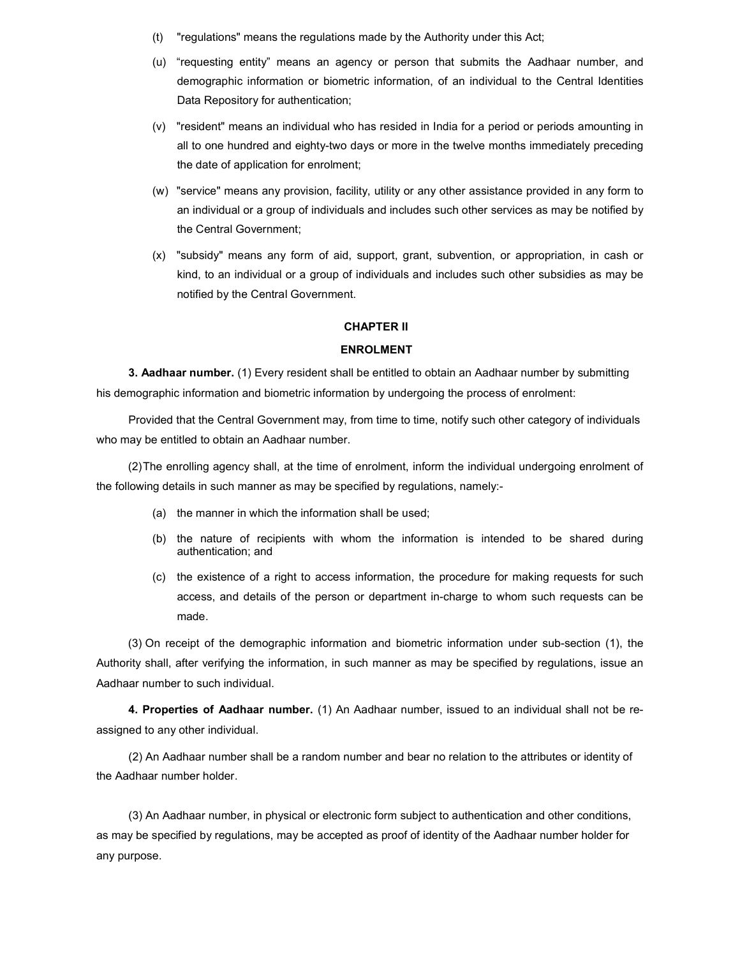- (t) "regulations" means the regulations made by the Authority under this Act;
- (u) "requesting entity" means an agency or person that submits the Aadhaar number, and demographic information or biometric information, of an individual to the Central Identities Data Repository for authentication;
- (v) "resident" means an individual who has resided in India for a period or periods amounting in all to one hundred and eighty-two days or more in the twelve months immediately preceding the date of application for enrolment;
- (w) "service" means any provision, facility, utility or any other assistance provided in any form to an individual or a group of individuals and includes such other services as may be notified by the Central Government;
- (x) "subsidy" means any form of aid, support, grant, subvention, or appropriation, in cash or kind, to an individual or a group of individuals and includes such other subsidies as may be notified by the Central Government.

# CHAPTER II

#### ENROLMENT

3. Aadhaar number. (1) Every resident shall be entitled to obtain an Aadhaar number by submitting his demographic information and biometric information by undergoing the process of enrolment:

Provided that the Central Government may, from time to time, notify such other category of individuals who may be entitled to obtain an Aadhaar number.

(2) The enrolling agency shall, at the time of enrolment, inform the individual undergoing enrolment of the following details in such manner as may be specified by regulations, namely:-

- (a) the manner in which the information shall be used;
- (b) the nature of recipients with whom the information is intended to be shared during authentication; and
- (c) the existence of a right to access information, the procedure for making requests for such access, and details of the person or department in-charge to whom such requests can be made.

(3) On receipt of the demographic information and biometric information under sub-section (1), the Authority shall, after verifying the information, in such manner as may be specified by regulations, issue an Aadhaar number to such individual.

4. Properties of Aadhaar number. (1) An Aadhaar number, issued to an individual shall not be reassigned to any other individual.

(2) An Aadhaar number shall be a random number and bear no relation to the attributes or identity of the Aadhaar number holder.

(3) An Aadhaar number, in physical or electronic form subject to authentication and other conditions, as may be specified by regulations, may be accepted as proof of identity of the Aadhaar number holder for any purpose.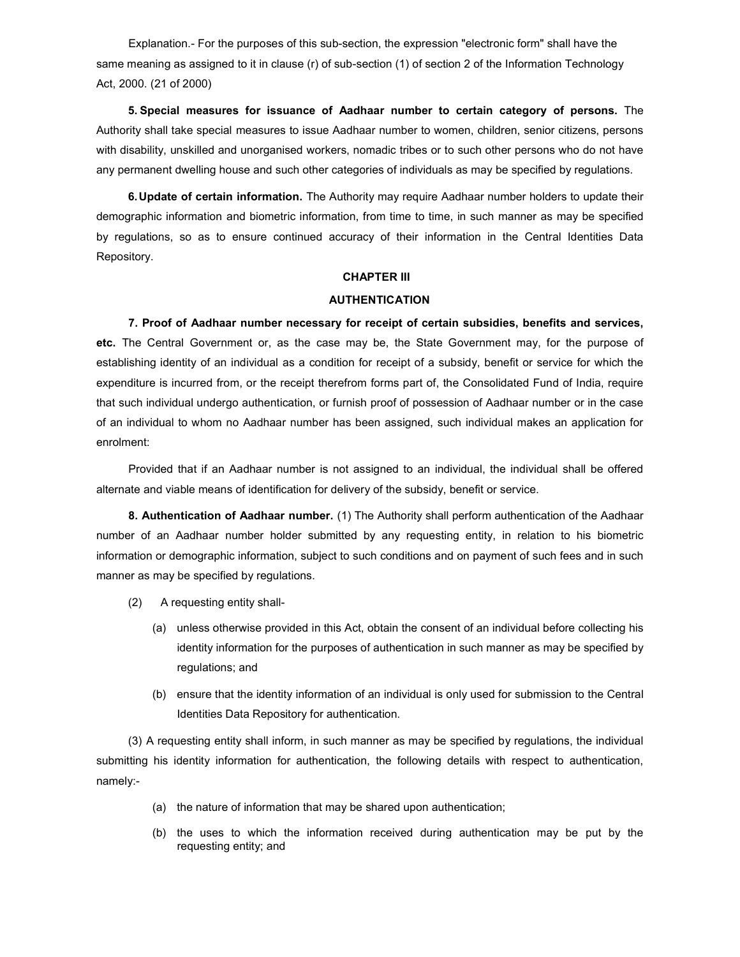Explanation.- For the purposes of this sub-section, the expression "electronic form" shall have the same meaning as assigned to it in clause (r) of sub-section (1) of section 2 of the Information Technology Act, 2000. (21 of 2000)

5. Special measures for issuance of Aadhaar number to certain category of persons. The Authority shall take special measures to issue Aadhaar number to women, children, senior citizens, persons with disability, unskilled and unorganised workers, nomadic tribes or to such other persons who do not have any permanent dwelling house and such other categories of individuals as may be specified by regulations.

**6. Update of certain information.** The Authority may require Aadhaar number holders to update their demographic information and biometric information, from time to time, in such manner as may be specified by regulations, so as to ensure continued accuracy of their information in the Central Identities Data Repository.

### CHAPTER III

## AUTHENTICATION

7. Proof of Aadhaar number necessary for receipt of certain subsidies, benefits and services, etc. The Central Government or, as the case may be, the State Government may, for the purpose of establishing identity of an individual as a condition for receipt of a subsidy, benefit or service for which the expenditure is incurred from, or the receipt therefrom forms part of, the Consolidated Fund of India, require that such individual undergo authentication, or furnish proof of possession of Aadhaar number or in the case of an individual to whom no Aadhaar number has been assigned, such individual makes an application for enrolment:

Provided that if an Aadhaar number is not assigned to an individual, the individual shall be offered alternate and viable means of identification for delivery of the subsidy, benefit or service.

8. Authentication of Aadhaar number. (1) The Authority shall perform authentication of the Aadhaar number of an Aadhaar number holder submitted by any requesting entity, in relation to his biometric information or demographic information, subject to such conditions and on payment of such fees and in such manner as may be specified by regulations.

- (2) A requesting entity shall-
	- (a) unless otherwise provided in this Act, obtain the consent of an individual before collecting his identity information for the purposes of authentication in such manner as may be specified by regulations; and
	- (b) ensure that the identity information of an individual is only used for submission to the Central Identities Data Repository for authentication.

(3) A requesting entity shall inform, in such manner as may be specified by regulations, the individual submitting his identity information for authentication, the following details with respect to authentication, namely:-

- (a) the nature of information that may be shared upon authentication;
- (b) the uses to which the information received during authentication may be put by the requesting entity; and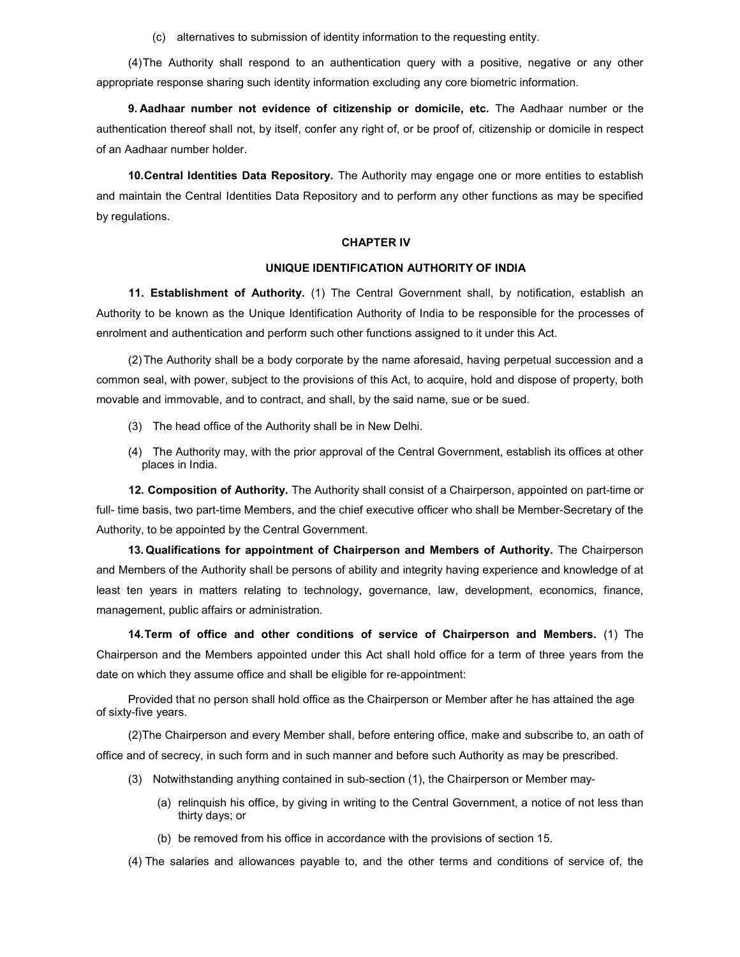(c) alternatives to submission of identity information to the requesting entity.

(4) The Authority shall respond to an authentication query with a positive, negative or any other appropriate response sharing such identity information excluding any core biometric information.

9. Aadhaar number not evidence of citizenship or domicile, etc. The Aadhaar number or the authentication thereof shall not, by itself, confer any right of, or be proof of, citizenship or domicile in respect of an Aadhaar number holder.

10. Central Identities Data Repository. The Authority may engage one or more entities to establish and maintain the Central Identities Data Repository and to perform any other functions as may be specified by regulations.

### CHAPTER IV

### UNIQUE IDENTIFICATION AUTHORITY OF INDIA

11. Establishment of Authority. (1) The Central Government shall, by notification, establish an Authority to be known as the Unique Identification Authority of India to be responsible for the processes of enrolment and authentication and perform such other functions assigned to it under this Act.

(2) The Authority shall be a body corporate by the name aforesaid, having perpetual succession and a common seal, with power, subject to the provisions of this Act, to acquire, hold and dispose of property, both movable and immovable, and to contract, and shall, by the said name, sue or be sued.

- (3) The head office of the Authority shall be in New Delhi.
- (4) The Authority may, with the prior approval of the Central Government, establish its offices at other places in India.

12. Composition of Authority. The Authority shall consist of a Chairperson, appointed on part-time or full- time basis, two part-time Members, and the chief executive officer who shall be Member-Secretary of the Authority, to be appointed by the Central Government.

13. Qualifications for appointment of Chairperson and Members of Authority. The Chairperson and Members of the Authority shall be persons of ability and integrity having experience and knowledge of at least ten years in matters relating to technology, governance, law, development, economics, finance, management, public affairs or administration.

14. Term of office and other conditions of service of Chairperson and Members. (1) The Chairperson and the Members appointed under this Act shall hold office for a term of three years from the date on which they assume office and shall be eligible for re-appointment:

Provided that no person shall hold office as the Chairperson or Member after he has attained the age of sixty-five years.

(2) The Chairperson and every Member shall, before entering office, make and subscribe to, an oath of office and of secrecy, in such form and in such manner and before such Authority as may be prescribed.

- (3) Notwithstanding anything contained in sub-section (1), the Chairperson or Member may-
	- (a) relinquish his office, by giving in writing to the Central Government, a notice of not less than thirty days; or
	- (b) be removed from his office in accordance with the provisions of section 15.

(4) The salaries and allowances payable to, and the other terms and conditions of service of, the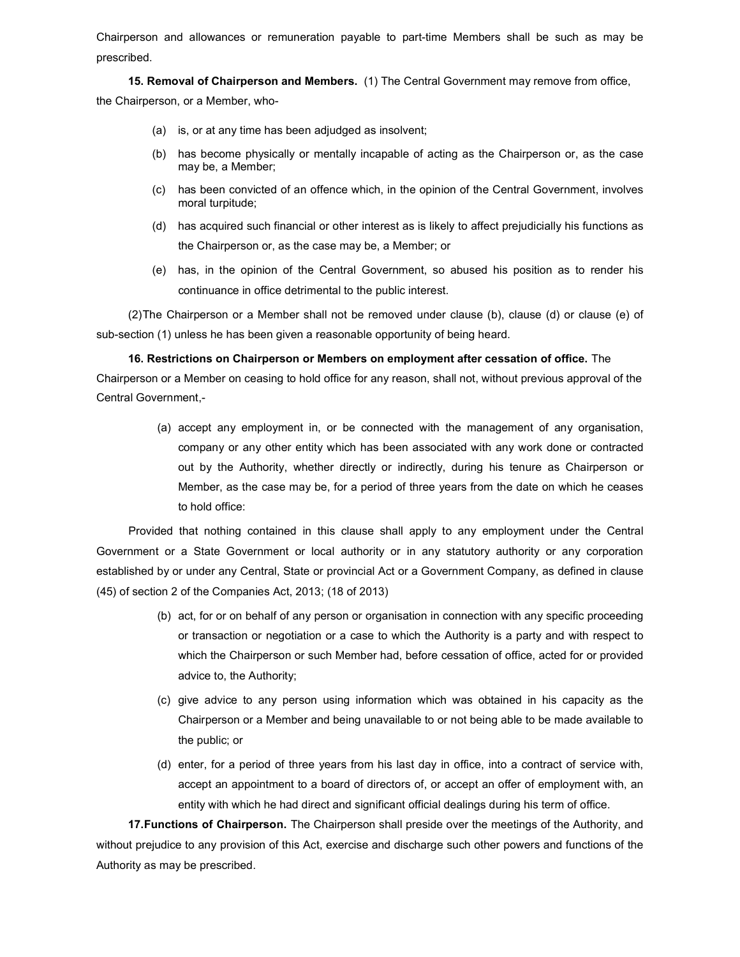Chairperson and allowances or remuneration payable to part-time Members shall be such as may be prescribed.

15. Removal of Chairperson and Members. (1) The Central Government may remove from office,

the Chairperson, or a Member, who-

- (a) is, or at any time has been adjudged as insolvent;
- (b) has become physically or mentally incapable of acting as the Chairperson or, as the case may be, a Member;
- (c) has been convicted of an offence which, in the opinion of the Central Government, involves moral turpitude;
- (d) has acquired such financial or other interest as is likely to affect prejudicially his functions as the Chairperson or, as the case may be, a Member; or
- (e) has, in the opinion of the Central Government, so abused his position as to render his continuance in office detrimental to the public interest.

(2) The Chairperson or a Member shall not be removed under clause (b), clause (d) or clause (e) of sub-section (1) unless he has been given a reasonable opportunity of being heard.

16. Restrictions on Chairperson or Members on employment after cessation of office. The

Chairperson or a Member on ceasing to hold office for any reason, shall not, without previous approval of the Central Government,-

> (a) accept any employment in, or be connected with the management of any organisation, company or any other entity which has been associated with any work done or contracted out by the Authority, whether directly or indirectly, during his tenure as Chairperson or Member, as the case may be, for a period of three years from the date on which he ceases to hold office:

Provided that nothing contained in this clause shall apply to any employment under the Central Government or a State Government or local authority or in any statutory authority or any corporation established by or under any Central, State or provincial Act or a Government Company, as defined in clause (45) of section 2 of the Companies Act, 2013; (18 of 2013)

- (b) act, for or on behalf of any person or organisation in connection with any specific proceeding or transaction or negotiation or a case to which the Authority is a party and with respect to which the Chairperson or such Member had, before cessation of office, acted for or provided advice to, the Authority;
- (c) give advice to any person using information which was obtained in his capacity as the Chairperson or a Member and being unavailable to or not being able to be made available to the public; or
- (d) enter, for a period of three years from his last day in office, into a contract of service with, accept an appointment to a board of directors of, or accept an offer of employment with, an entity with which he had direct and significant official dealings during his term of office.

17. Functions of Chairperson. The Chairperson shall preside over the meetings of the Authority, and without prejudice to any provision of this Act, exercise and discharge such other powers and functions of the Authority as may be prescribed.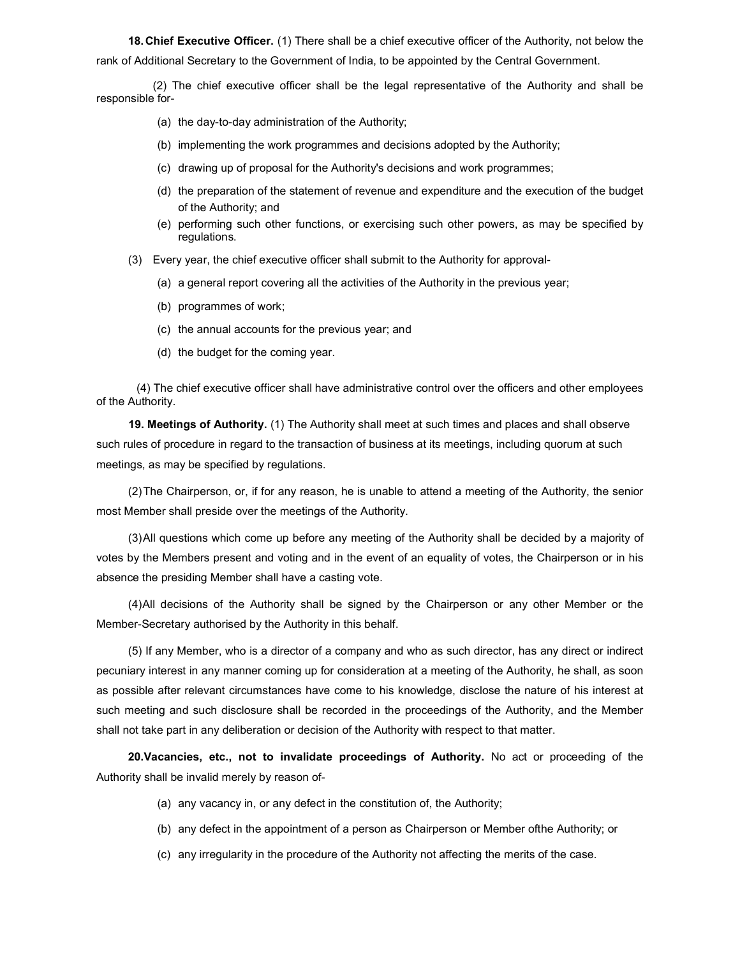18. Chief Executive Officer. (1) There shall be a chief executive officer of the Authority, not below the rank of Additional Secretary to the Government of India, to be appointed by the Central Government.

 (2) The chief executive officer shall be the legal representative of the Authority and shall be responsible for-

- (a) the day-to-day administration of the Authority;
- (b) implementing the work programmes and decisions adopted by the Authority;
- (c) drawing up of proposal for the Authority's decisions and work programmes;
- (d) the preparation of the statement of revenue and expenditure and the execution of the budget of the Authority; and
- (e) performing such other functions, or exercising such other powers, as may be specified by regulations.
- (3) Every year, the chief executive officer shall submit to the Authority for approval-
	- (a) a general report covering all the activities of the Authority in the previous year;
	- (b) programmes of work;
	- (c) the annual accounts for the previous year; and
	- (d) the budget for the coming year.

 (4) The chief executive officer shall have administrative control over the officers and other employees of the Authority.

19. Meetings of Authority. (1) The Authority shall meet at such times and places and shall observe such rules of procedure in regard to the transaction of business at its meetings, including quorum at such meetings, as may be specified by regulations.

(2) The Chairperson, or, if for any reason, he is unable to attend a meeting of the Authority, the senior most Member shall preside over the meetings of the Authority.

(3) All questions which come up before any meeting of the Authority shall be decided by a majority of votes by the Members present and voting and in the event of an equality of votes, the Chairperson or in his absence the presiding Member shall have a casting vote.

(4) All decisions of the Authority shall be signed by the Chairperson or any other Member or the Member-Secretary authorised by the Authority in this behalf.

(5) If any Member, who is a director of a company and who as such director, has any direct or indirect pecuniary interest in any manner coming up for consideration at a meeting of the Authority, he shall, as soon as possible after relevant circumstances have come to his knowledge, disclose the nature of his interest at such meeting and such disclosure shall be recorded in the proceedings of the Authority, and the Member shall not take part in any deliberation or decision of the Authority with respect to that matter.

20.Vacancies, etc., not to invalidate proceedings of Authority. No act or proceeding of the Authority shall be invalid merely by reason of-

- (a) any vacancy in, or any defect in the constitution of, the Authority;
- (b) any defect in the appointment of a person as Chairperson or Member ofthe Authority; or
- (c) any irregularity in the procedure of the Authority not affecting the merits of the case.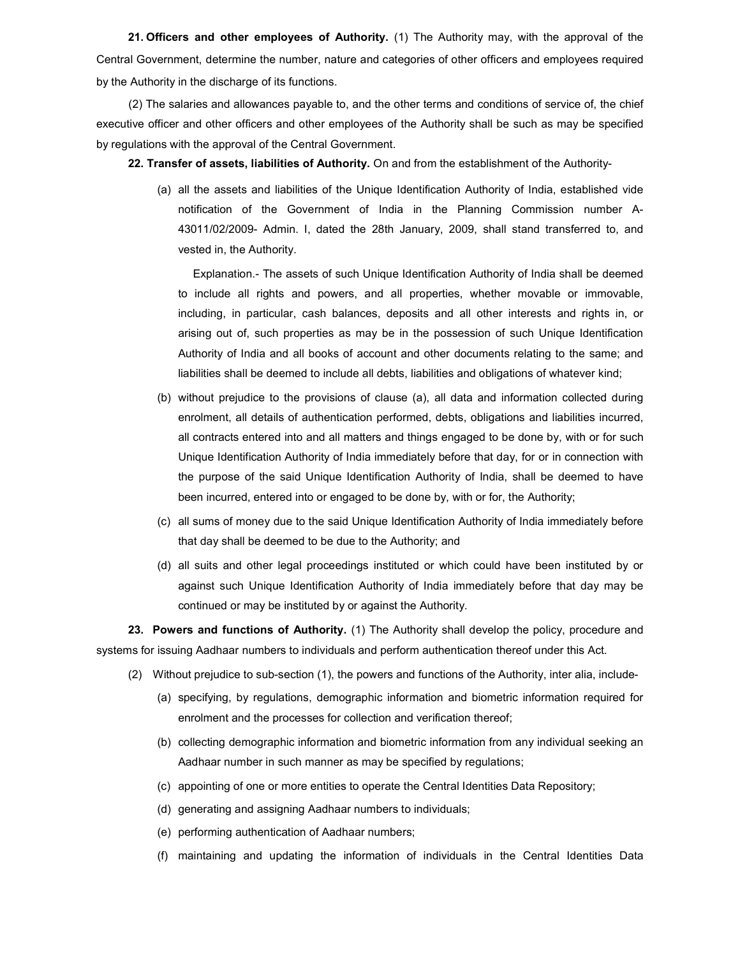21. Officers and other employees of Authority. (1) The Authority may, with the approval of the Central Government, determine the number, nature and categories of other officers and employees required by the Authority in the discharge of its functions.

(2) The salaries and allowances payable to, and the other terms and conditions of service of, the chief executive officer and other officers and other employees of the Authority shall be such as may be specified by regulations with the approval of the Central Government.

22. Transfer of assets, liabilities of Authority. On and from the establishment of the Authority-

(a) all the assets and liabilities of the Unique Identification Authority of India, established vide notification of the Government of India in the Planning Commission number A-43011/02/2009- Admin. I, dated the 28th January, 2009, shall stand transferred to, and vested in, the Authority.

Explanation.- The assets of such Unique Identification Authority of India shall be deemed to include all rights and powers, and all properties, whether movable or immovable, including, in particular, cash balances, deposits and all other interests and rights in, or arising out of, such properties as may be in the possession of such Unique Identification Authority of India and all books of account and other documents relating to the same; and liabilities shall be deemed to include all debts, liabilities and obligations of whatever kind;

- (b) without prejudice to the provisions of clause (a), all data and information collected during enrolment, all details of authentication performed, debts, obligations and liabilities incurred, all contracts entered into and all matters and things engaged to be done by, with or for such Unique Identification Authority of India immediately before that day, for or in connection with the purpose of the said Unique Identification Authority of India, shall be deemed to have been incurred, entered into or engaged to be done by, with or for, the Authority;
- (c) all sums of money due to the said Unique Identification Authority of India immediately before that day shall be deemed to be due to the Authority; and
- (d) all suits and other legal proceedings instituted or which could have been instituted by or against such Unique Identification Authority of India immediately before that day may be continued or may be instituted by or against the Authority.

23. Powers and functions of Authority. (1) The Authority shall develop the policy, procedure and systems for issuing Aadhaar numbers to individuals and perform authentication thereof under this Act.

- (2) Without prejudice to sub-section (1), the powers and functions of the Authority, inter alia, include-
	- (a) specifying, by regulations, demographic information and biometric information required for enrolment and the processes for collection and verification thereof;
	- (b) collecting demographic information and biometric information from any individual seeking an Aadhaar number in such manner as may be specified by regulations;
	- (c) appointing of one or more entities to operate the Central Identities Data Repository;
	- (d) generating and assigning Aadhaar numbers to individuals;
	- (e) performing authentication of Aadhaar numbers;
	- (f) maintaining and updating the information of individuals in the Central Identities Data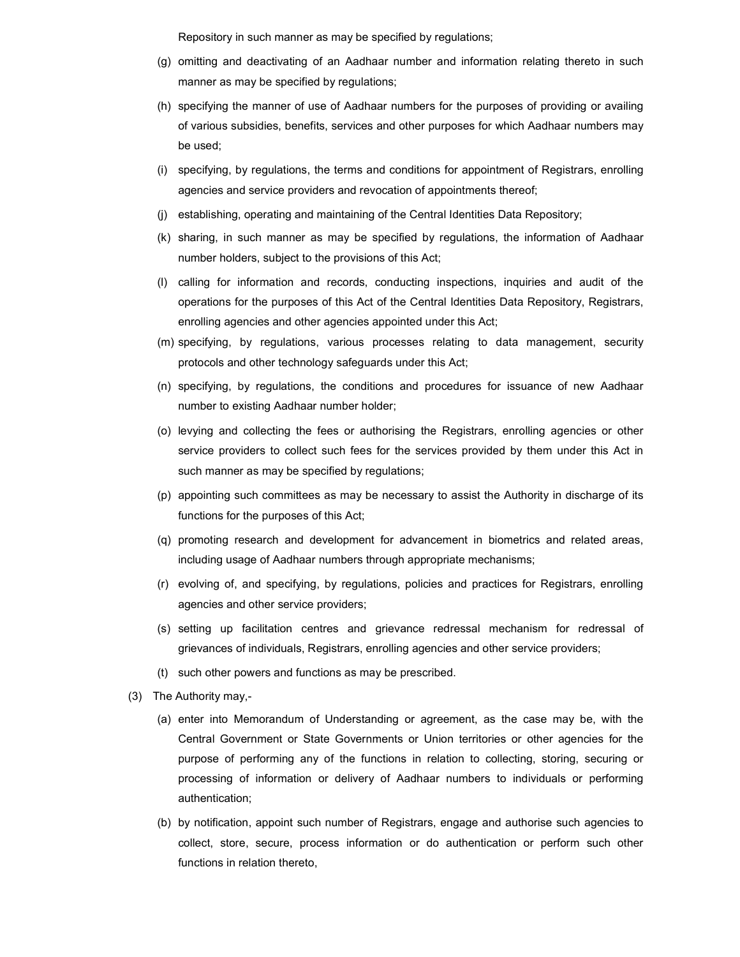Repository in such manner as may be specified by regulations;

- (g) omitting and deactivating of an Aadhaar number and information relating thereto in such manner as may be specified by regulations;
- (h) specifying the manner of use of Aadhaar numbers for the purposes of providing or availing of various subsidies, benefits, services and other purposes for which Aadhaar numbers may be used;
- (i) specifying, by regulations, the terms and conditions for appointment of Registrars, enrolling agencies and service providers and revocation of appointments thereof;
- (j) establishing, operating and maintaining of the Central Identities Data Repository;
- (k) sharing, in such manner as may be specified by regulations, the information of Aadhaar number holders, subject to the provisions of this Act;
- (l) calling for information and records, conducting inspections, inquiries and audit of the operations for the purposes of this Act of the Central Identities Data Repository, Registrars, enrolling agencies and other agencies appointed under this Act;
- (m) specifying, by regulations, various processes relating to data management, security protocols and other technology safeguards under this Act;
- (n) specifying, by regulations, the conditions and procedures for issuance of new Aadhaar number to existing Aadhaar number holder;
- (o) levying and collecting the fees or authorising the Registrars, enrolling agencies or other service providers to collect such fees for the services provided by them under this Act in such manner as may be specified by regulations;
- (p) appointing such committees as may be necessary to assist the Authority in discharge of its functions for the purposes of this Act;
- (q) promoting research and development for advancement in biometrics and related areas, including usage of Aadhaar numbers through appropriate mechanisms;
- (r) evolving of, and specifying, by regulations, policies and practices for Registrars, enrolling agencies and other service providers;
- (s) setting up facilitation centres and grievance redressal mechanism for redressal of grievances of individuals, Registrars, enrolling agencies and other service providers;
- (t) such other powers and functions as may be prescribed.
- (3) The Authority may,-
	- (a) enter into Memorandum of Understanding or agreement, as the case may be, with the Central Government or State Governments or Union territories or other agencies for the purpose of performing any of the functions in relation to collecting, storing, securing or processing of information or delivery of Aadhaar numbers to individuals or performing authentication;
	- (b) by notification, appoint such number of Registrars, engage and authorise such agencies to collect, store, secure, process information or do authentication or perform such other functions in relation thereto,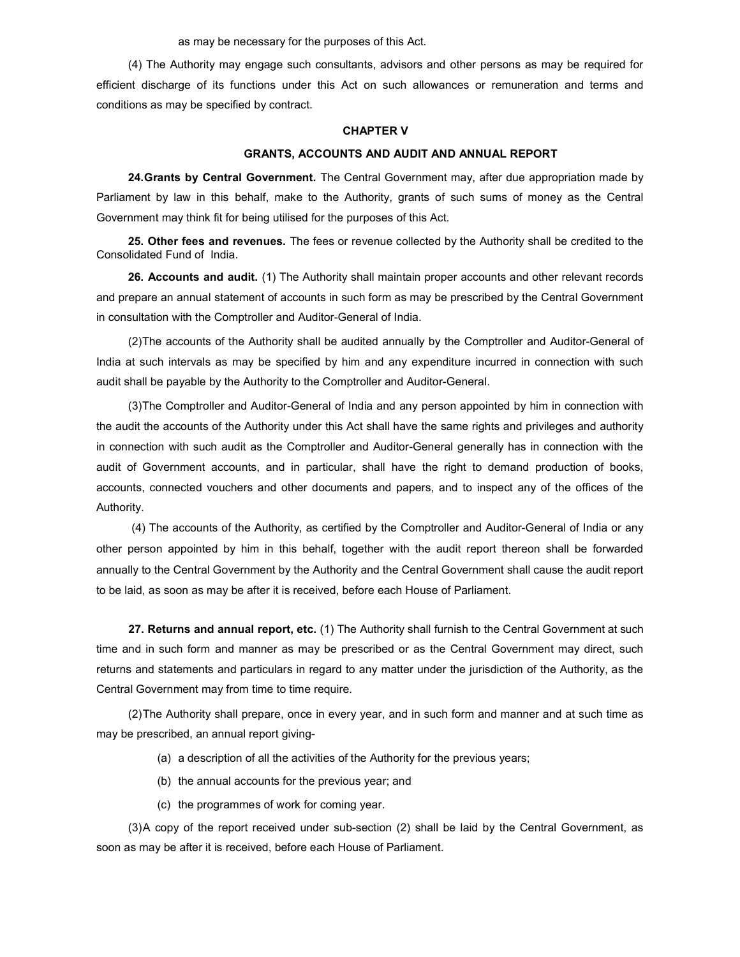as may be necessary for the purposes of this Act.

(4) The Authority may engage such consultants, advisors and other persons as may be required for efficient discharge of its functions under this Act on such allowances or remuneration and terms and conditions as may be specified by contract.

#### CHAPTER V

#### GRANTS, ACCOUNTS AND AUDIT AND ANNUAL REPORT

24. Grants by Central Government. The Central Government may, after due appropriation made by Parliament by law in this behalf, make to the Authority, grants of such sums of money as the Central Government may think fit for being utilised for the purposes of this Act.

25. Other fees and revenues. The fees or revenue collected by the Authority shall be credited to the Consolidated Fund of India.

26. Accounts and audit. (1) The Authority shall maintain proper accounts and other relevant records and prepare an annual statement of accounts in such form as may be prescribed by the Central Government in consultation with the Comptroller and Auditor-General of India.

(2) The accounts of the Authority shall be audited annually by the Comptroller and Auditor-General of India at such intervals as may be specified by him and any expenditure incurred in connection with such audit shall be payable by the Authority to the Comptroller and Auditor-General.

(3) The Comptroller and Auditor-General of India and any person appointed by him in connection with the audit the accounts of the Authority under this Act shall have the same rights and privileges and authority in connection with such audit as the Comptroller and Auditor-General generally has in connection with the audit of Government accounts, and in particular, shall have the right to demand production of books, accounts, connected vouchers and other documents and papers, and to inspect any of the offices of the Authority.

 (4) The accounts of the Authority, as certified by the Comptroller and Auditor-General of India or any other person appointed by him in this behalf, together with the audit report thereon shall be forwarded annually to the Central Government by the Authority and the Central Government shall cause the audit report to be laid, as soon as may be after it is received, before each House of Parliament.

27. Returns and annual report, etc. (1) The Authority shall furnish to the Central Government at such time and in such form and manner as may be prescribed or as the Central Government may direct, such returns and statements and particulars in regard to any matter under the jurisdiction of the Authority, as the Central Government may from time to time require.

(2) The Authority shall prepare, once in every year, and in such form and manner and at such time as may be prescribed, an annual report giving-

- (a) a description of all the activities of the Authority for the previous years;
- (b) the annual accounts for the previous year; and
- (c) the programmes of work for coming year.

(3) A copy of the report received under sub-section (2) shall be laid by the Central Government, as soon as may be after it is received, before each House of Parliament.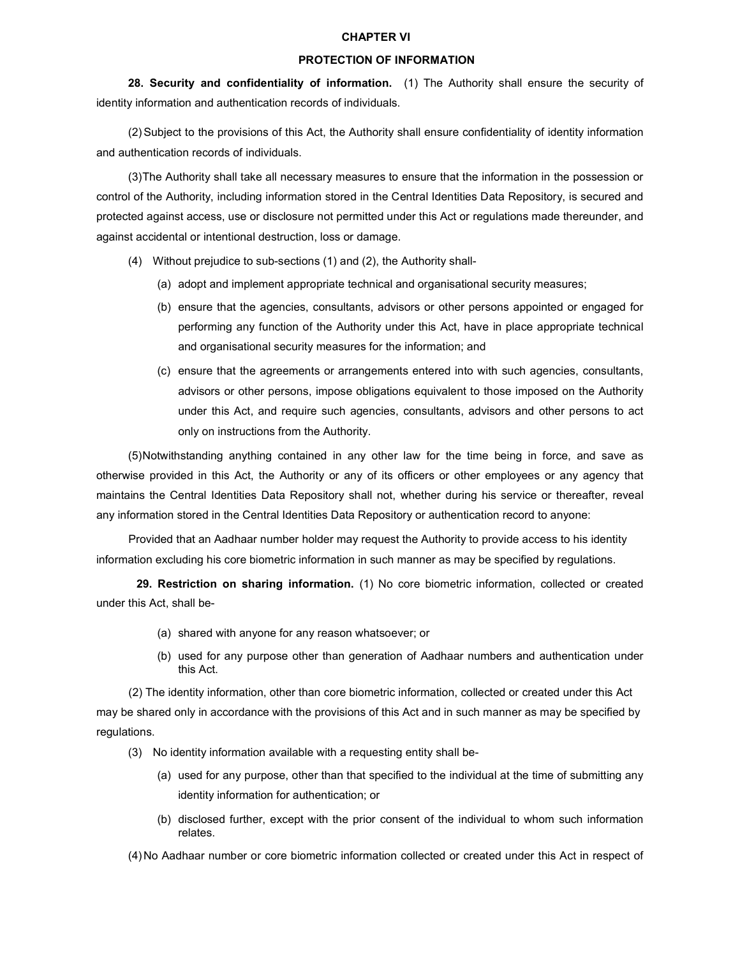#### CHAPTER VI

#### PROTECTION OF INFORMATION

28. Security and confidentiality of information. (1) The Authority shall ensure the security of identity information and authentication records of individuals.

(2) Subject to the provisions of this Act, the Authority shall ensure confidentiality of identity information and authentication records of individuals.

(3) The Authority shall take all necessary measures to ensure that the information in the possession or control of the Authority, including information stored in the Central Identities Data Repository, is secured and protected against access, use or disclosure not permitted under this Act or regulations made thereunder, and against accidental or intentional destruction, loss or damage.

- (4) Without prejudice to sub-sections (1) and (2), the Authority shall-
	- (a) adopt and implement appropriate technical and organisational security measures;
	- (b) ensure that the agencies, consultants, advisors or other persons appointed or engaged for performing any function of the Authority under this Act, have in place appropriate technical and organisational security measures for the information; and
	- (c) ensure that the agreements or arrangements entered into with such agencies, consultants, advisors or other persons, impose obligations equivalent to those imposed on the Authority under this Act, and require such agencies, consultants, advisors and other persons to act only on instructions from the Authority.

(5) Notwithstanding anything contained in any other law for the time being in force, and save as otherwise provided in this Act, the Authority or any of its officers or other employees or any agency that maintains the Central Identities Data Repository shall not, whether during his service or thereafter, reveal any information stored in the Central Identities Data Repository or authentication record to anyone:

Provided that an Aadhaar number holder may request the Authority to provide access to his identity information excluding his core biometric information in such manner as may be specified by regulations.

 29. Restriction on sharing information. (1) No core biometric information, collected or created under this Act, shall be-

- (a) shared with anyone for any reason whatsoever; or
- (b) used for any purpose other than generation of Aadhaar numbers and authentication under this Act.

(2) The identity information, other than core biometric information, collected or created under this Act may be shared only in accordance with the provisions of this Act and in such manner as may be specified by regulations.

- (3) No identity information available with a requesting entity shall be-
	- (a) used for any purpose, other than that specified to the individual at the time of submitting any identity information for authentication; or
	- (b) disclosed further, except with the prior consent of the individual to whom such information relates.

(4) No Aadhaar number or core biometric information collected or created under this Act in respect of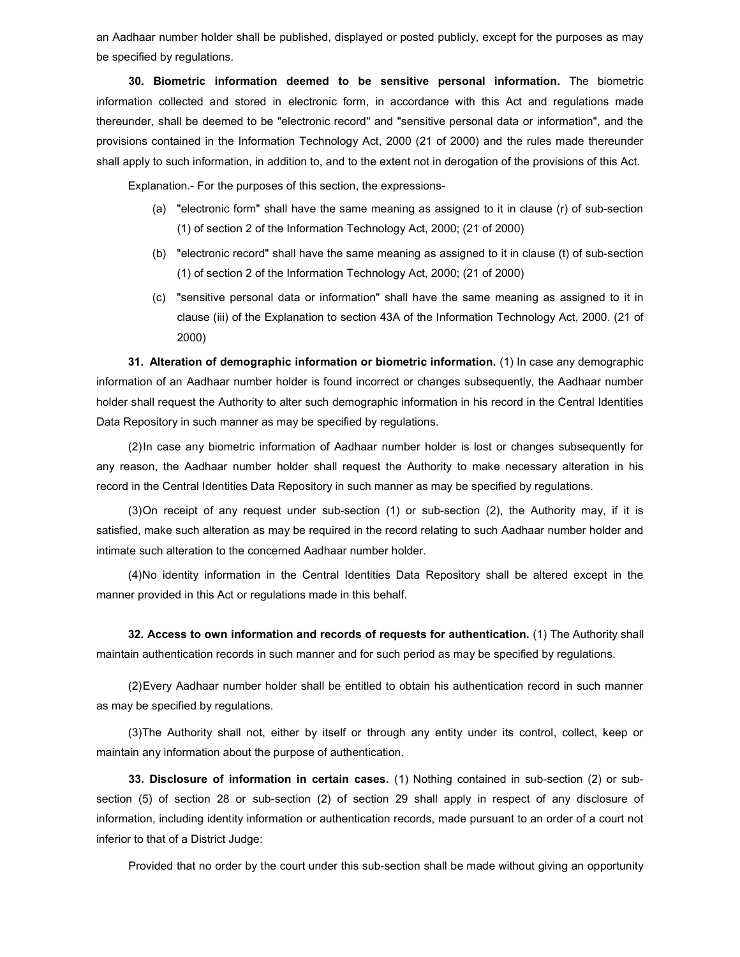an Aadhaar number holder shall be published, displayed or posted publicly, except for the purposes as may be specified by regulations.

30. Biometric information deemed to be sensitive personal information. The biometric information collected and stored in electronic form, in accordance with this Act and regulations made thereunder, shall be deemed to be "electronic record" and "sensitive personal data or information", and the provisions contained in the Information Technology Act, 2000 (21 of 2000) and the rules made thereunder shall apply to such information, in addition to, and to the extent not in derogation of the provisions of this Act.

Explanation.- For the purposes of this section, the expressions-

- (a) "electronic form" shall have the same meaning as assigned to it in clause (r) of sub-section (1) of section 2 of the Information Technology Act, 2000; (21 of 2000)
- (b) "electronic record" shall have the same meaning as assigned to it in clause (t) of sub-section (1) of section 2 of the Information Technology Act, 2000; (21 of 2000)
- (c) "sensitive personal data or information" shall have the same meaning as assigned to it in clause (iii) of the Explanation to section 43A of the Information Technology Act, 2000. (21 of 2000)

31. Alteration of demographic information or biometric information. (1) In case any demographic information of an Aadhaar number holder is found incorrect or changes subsequently, the Aadhaar number holder shall request the Authority to alter such demographic information in his record in the Central Identities Data Repository in such manner as may be specified by regulations.

(2) In case any biometric information of Aadhaar number holder is lost or changes subsequently for any reason, the Aadhaar number holder shall request the Authority to make necessary alteration in his record in the Central Identities Data Repository in such manner as may be specified by regulations.

(3) On receipt of any request under sub-section (1) or sub-section (2), the Authority may, if it is satisfied, make such alteration as may be required in the record relating to such Aadhaar number holder and intimate such alteration to the concerned Aadhaar number holder.

(4) No identity information in the Central Identities Data Repository shall be altered except in the manner provided in this Act or regulations made in this behalf.

32. Access to own information and records of requests for authentication. (1) The Authority shall maintain authentication records in such manner and for such period as may be specified by regulations.

(2) Every Aadhaar number holder shall be entitled to obtain his authentication record in such manner as may be specified by regulations.

(3) The Authority shall not, either by itself or through any entity under its control, collect, keep or maintain any information about the purpose of authentication.

33. Disclosure of information in certain cases. (1) Nothing contained in sub-section (2) or subsection (5) of section 28 or sub-section (2) of section 29 shall apply in respect of any disclosure of information, including identity information or authentication records, made pursuant to an order of a court not inferior to that of a District Judge:

Provided that no order by the court under this sub-section shall be made without giving an opportunity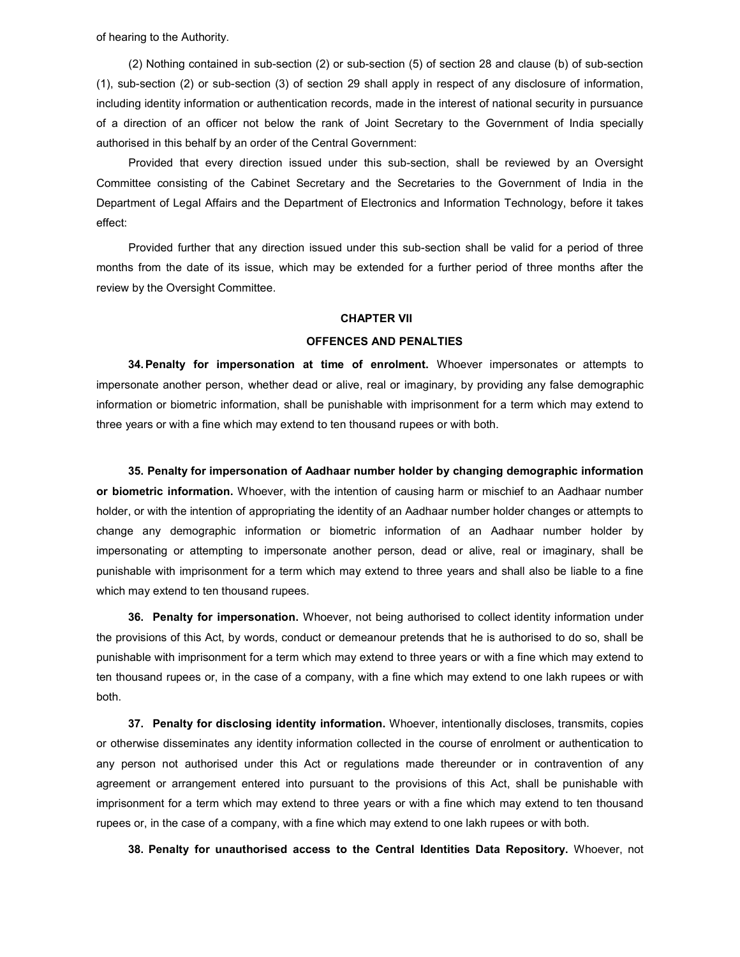of hearing to the Authority.

(2) Nothing contained in sub-section (2) or sub-section (5) of section 28 and clause (b) of sub-section (1), sub-section (2) or sub-section (3) of section 29 shall apply in respect of any disclosure of information, including identity information or authentication records, made in the interest of national security in pursuance of a direction of an officer not below the rank of Joint Secretary to the Government of India specially authorised in this behalf by an order of the Central Government:

Provided that every direction issued under this sub-section, shall be reviewed by an Oversight Committee consisting of the Cabinet Secretary and the Secretaries to the Government of India in the Department of Legal Affairs and the Department of Electronics and Information Technology, before it takes effect:

Provided further that any direction issued under this sub-section shall be valid for a period of three months from the date of its issue, which may be extended for a further period of three months after the review by the Oversight Committee.

### CHAPTER VII

### OFFENCES AND PENALTIES

**34. Penalty for impersonation at time of enrolment.** Whoever impersonates or attempts to impersonate another person, whether dead or alive, real or imaginary, by providing any false demographic information or biometric information, shall be punishable with imprisonment for a term which may extend to three years or with a fine which may extend to ten thousand rupees or with both.

35. Penalty for impersonation of Aadhaar number holder by changing demographic information or biometric information. Whoever, with the intention of causing harm or mischief to an Aadhaar number holder, or with the intention of appropriating the identity of an Aadhaar number holder changes or attempts to change any demographic information or biometric information of an Aadhaar number holder by impersonating or attempting to impersonate another person, dead or alive, real or imaginary, shall be punishable with imprisonment for a term which may extend to three years and shall also be liable to a fine which may extend to ten thousand rupees.

36. Penalty for impersonation. Whoever, not being authorised to collect identity information under the provisions of this Act, by words, conduct or demeanour pretends that he is authorised to do so, shall be punishable with imprisonment for a term which may extend to three years or with a fine which may extend to ten thousand rupees or, in the case of a company, with a fine which may extend to one lakh rupees or with both.

37. Penalty for disclosing identity information. Whoever, intentionally discloses, transmits, copies or otherwise disseminates any identity information collected in the course of enrolment or authentication to any person not authorised under this Act or regulations made thereunder or in contravention of any agreement or arrangement entered into pursuant to the provisions of this Act, shall be punishable with imprisonment for a term which may extend to three years or with a fine which may extend to ten thousand rupees or, in the case of a company, with a fine which may extend to one lakh rupees or with both.

38. Penalty for unauthorised access to the Central Identities Data Repository. Whoever, not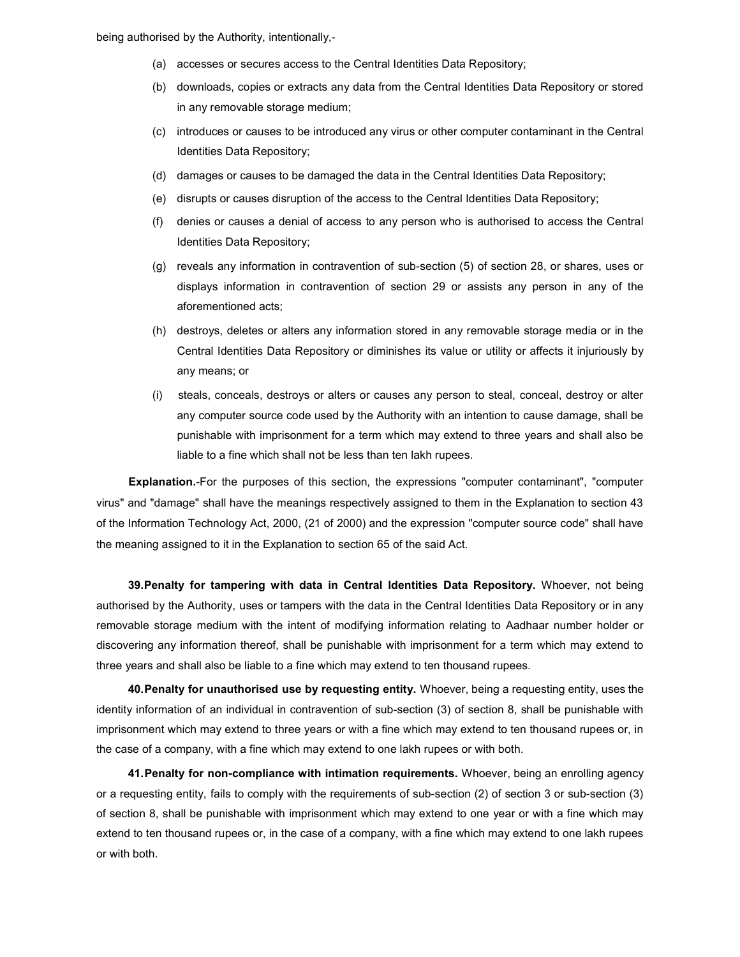being authorised by the Authority, intentionally,-

- (a) accesses or secures access to the Central Identities Data Repository;
- (b) downloads, copies or extracts any data from the Central Identities Data Repository or stored in any removable storage medium;
- (c) introduces or causes to be introduced any virus or other computer contaminant in the Central Identities Data Repository;
- (d) damages or causes to be damaged the data in the Central Identities Data Repository;
- (e) disrupts or causes disruption of the access to the Central Identities Data Repository;
- (f) denies or causes a denial of access to any person who is authorised to access the Central Identities Data Repository;
- (g) reveals any information in contravention of sub-section (5) of section 28, or shares, uses or displays information in contravention of section 29 or assists any person in any of the aforementioned acts;
- (h) destroys, deletes or alters any information stored in any removable storage media or in the Central Identities Data Repository or diminishes its value or utility or affects it injuriously by any means; or
- (i) steals, conceals, destroys or alters or causes any person to steal, conceal, destroy or alter any computer source code used by the Authority with an intention to cause damage, shall be punishable with imprisonment for a term which may extend to three years and shall also be liable to a fine which shall not be less than ten lakh rupees.

Explanation.-For the purposes of this section, the expressions "computer contaminant", "computer virus" and "damage" shall have the meanings respectively assigned to them in the Explanation to section 43 of the Information Technology Act, 2000, (21 of 2000) and the expression "computer source code" shall have the meaning assigned to it in the Explanation to section 65 of the said Act.

39. Penalty for tampering with data in Central Identities Data Repository. Whoever, not being authorised by the Authority, uses or tampers with the data in the Central Identities Data Repository or in any removable storage medium with the intent of modifying information relating to Aadhaar number holder or discovering any information thereof, shall be punishable with imprisonment for a term which may extend to three years and shall also be liable to a fine which may extend to ten thousand rupees.

40. Penalty for unauthorised use by requesting entity. Whoever, being a requesting entity, uses the identity information of an individual in contravention of sub-section (3) of section 8, shall be punishable with imprisonment which may extend to three years or with a fine which may extend to ten thousand rupees or, in the case of a company, with a fine which may extend to one lakh rupees or with both.

41. Penalty for non-compliance with intimation requirements. Whoever, being an enrolling agency or a requesting entity, fails to comply with the requirements of sub-section (2) of section 3 or sub-section (3) of section 8, shall be punishable with imprisonment which may extend to one year or with a fine which may extend to ten thousand rupees or, in the case of a company, with a fine which may extend to one lakh rupees or with both.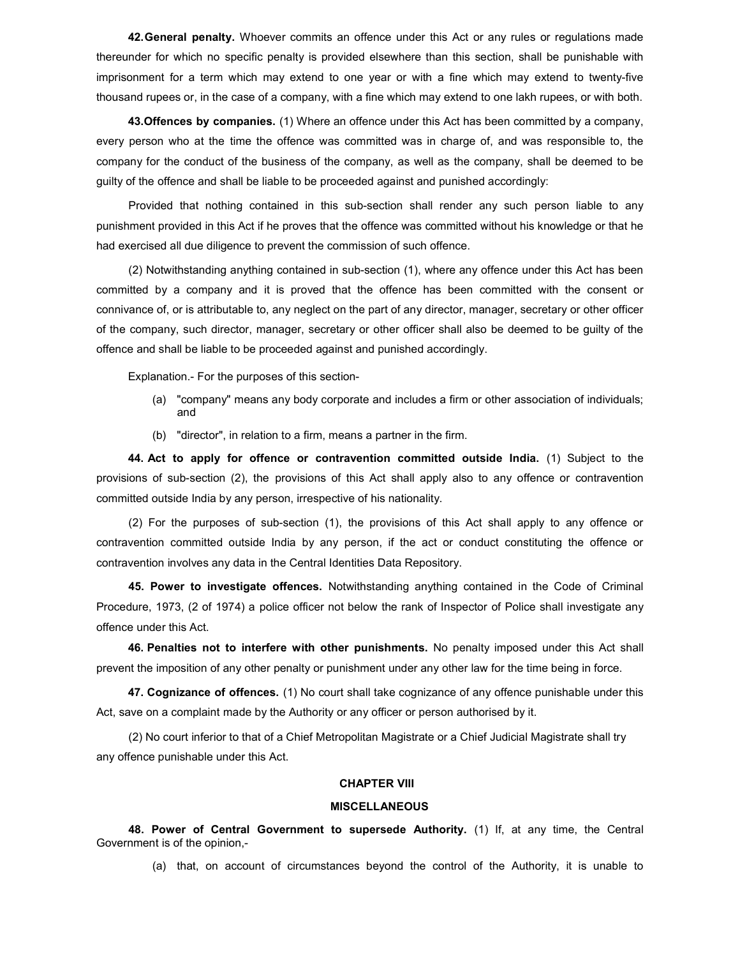42. General penalty. Whoever commits an offence under this Act or any rules or regulations made thereunder for which no specific penalty is provided elsewhere than this section, shall be punishable with imprisonment for a term which may extend to one year or with a fine which may extend to twenty-five thousand rupees or, in the case of a company, with a fine which may extend to one lakh rupees, or with both.

43. Offences by companies. (1) Where an offence under this Act has been committed by a company, every person who at the time the offence was committed was in charge of, and was responsible to, the company for the conduct of the business of the company, as well as the company, shall be deemed to be guilty of the offence and shall be liable to be proceeded against and punished accordingly:

Provided that nothing contained in this sub-section shall render any such person liable to any punishment provided in this Act if he proves that the offence was committed without his knowledge or that he had exercised all due diligence to prevent the commission of such offence.

(2) Notwithstanding anything contained in sub-section (1), where any offence under this Act has been committed by a company and it is proved that the offence has been committed with the consent or connivance of, or is attributable to, any neglect on the part of any director, manager, secretary or other officer of the company, such director, manager, secretary or other officer shall also be deemed to be guilty of the offence and shall be liable to be proceeded against and punished accordingly.

Explanation.- For the purposes of this section-

- (a) "company" means any body corporate and includes a firm or other association of individuals; and
- (b) "director", in relation to a firm, means a partner in the firm.

44. Act to apply for offence or contravention committed outside India. (1) Subject to the provisions of sub-section (2), the provisions of this Act shall apply also to any offence or contravention committed outside India by any person, irrespective of his nationality.

(2) For the purposes of sub-section (1), the provisions of this Act shall apply to any offence or contravention committed outside India by any person, if the act or conduct constituting the offence or contravention involves any data in the Central Identities Data Repository.

45. Power to investigate offences. Notwithstanding anything contained in the Code of Criminal Procedure, 1973, (2 of 1974) a police officer not below the rank of Inspector of Police shall investigate any offence under this Act.

46. Penalties not to interfere with other punishments. No penalty imposed under this Act shall prevent the imposition of any other penalty or punishment under any other law for the time being in force.

47. Cognizance of offences. (1) No court shall take cognizance of any offence punishable under this Act, save on a complaint made by the Authority or any officer or person authorised by it.

(2) No court inferior to that of a Chief Metropolitan Magistrate or a Chief Judicial Magistrate shall try any offence punishable under this Act.

## CHAPTER VIII

#### **MISCELLANEOUS**

 48. Power of Central Government to supersede Authority. (1) If, at any time, the Central Government is of the opinion,-

(a) that, on account of circumstances beyond the control of the Authority, it is unable to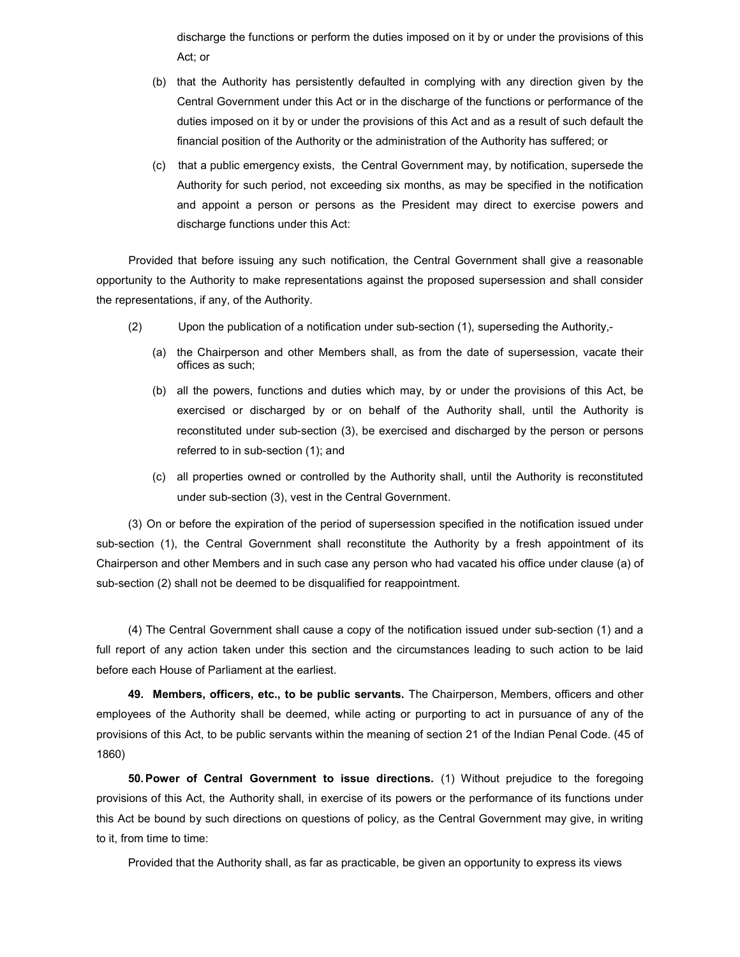discharge the functions or perform the duties imposed on it by or under the provisions of this Act; or

- (b) that the Authority has persistently defaulted in complying with any direction given by the Central Government under this Act or in the discharge of the functions or performance of the duties imposed on it by or under the provisions of this Act and as a result of such default the financial position of the Authority or the administration of the Authority has suffered; or
- (c) that a public emergency exists, the Central Government may, by notification, supersede the Authority for such period, not exceeding six months, as may be specified in the notification and appoint a person or persons as the President may direct to exercise powers and discharge functions under this Act:

Provided that before issuing any such notification, the Central Government shall give a reasonable opportunity to the Authority to make representations against the proposed supersession and shall consider the representations, if any, of the Authority.

- (2) Upon the publication of a notification under sub-section (1), superseding the Authority,-
	- (a) the Chairperson and other Members shall, as from the date of supersession, vacate their offices as such;
	- (b) all the powers, functions and duties which may, by or under the provisions of this Act, be exercised or discharged by or on behalf of the Authority shall, until the Authority is reconstituted under sub-section (3), be exercised and discharged by the person or persons referred to in sub-section (1); and
	- (c) all properties owned or controlled by the Authority shall, until the Authority is reconstituted under sub-section (3), vest in the Central Government.

(3) On or before the expiration of the period of supersession specified in the notification issued under sub-section (1), the Central Government shall reconstitute the Authority by a fresh appointment of its Chairperson and other Members and in such case any person who had vacated his office under clause (a) of sub-section (2) shall not be deemed to be disqualified for reappointment.

(4) The Central Government shall cause a copy of the notification issued under sub-section (1) and a full report of any action taken under this section and the circumstances leading to such action to be laid before each House of Parliament at the earliest.

49. Members, officers, etc., to be public servants. The Chairperson, Members, officers and other employees of the Authority shall be deemed, while acting or purporting to act in pursuance of any of the provisions of this Act, to be public servants within the meaning of section 21 of the Indian Penal Code. (45 of 1860)

50. Power of Central Government to issue directions. (1) Without prejudice to the foregoing provisions of this Act, the Authority shall, in exercise of its powers or the performance of its functions under this Act be bound by such directions on questions of policy, as the Central Government may give, in writing to it, from time to time:

Provided that the Authority shall, as far as practicable, be given an opportunity to express its views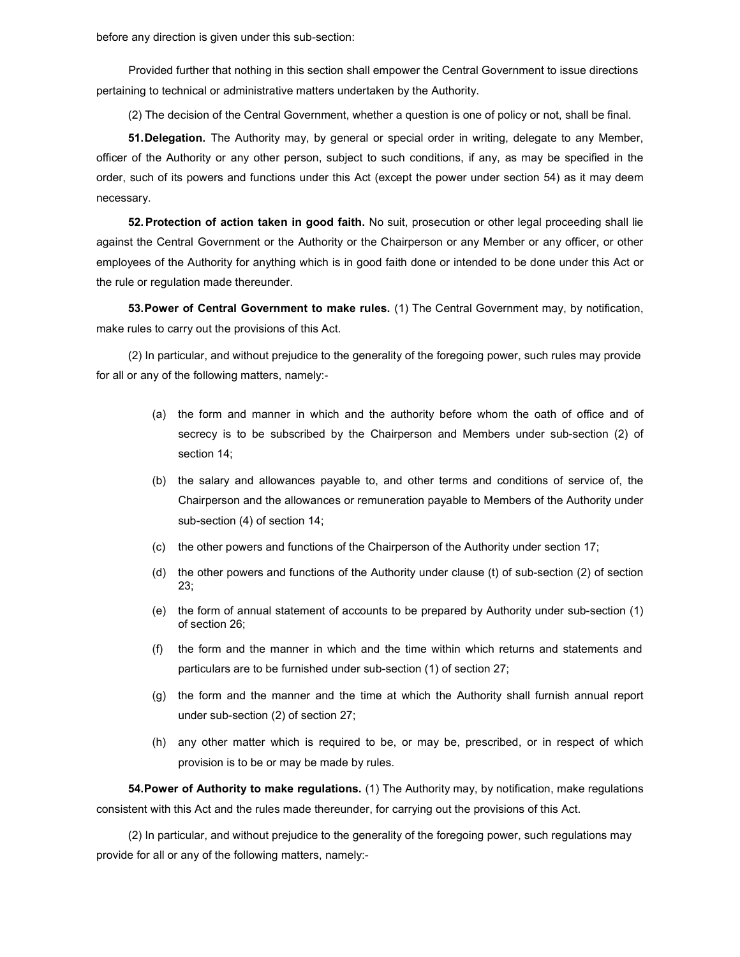before any direction is given under this sub-section:

Provided further that nothing in this section shall empower the Central Government to issue directions pertaining to technical or administrative matters undertaken by the Authority.

(2) The decision of the Central Government, whether a question is one of policy or not, shall be final.

51. Delegation. The Authority may, by general or special order in writing, delegate to any Member, officer of the Authority or any other person, subject to such conditions, if any, as may be specified in the order, such of its powers and functions under this Act (except the power under section 54) as it may deem necessary.

52. Protection of action taken in good faith. No suit, prosecution or other legal proceeding shall lie against the Central Government or the Authority or the Chairperson or any Member or any officer, or other employees of the Authority for anything which is in good faith done or intended to be done under this Act or the rule or regulation made thereunder.

53. Power of Central Government to make rules. (1) The Central Government may, by notification, make rules to carry out the provisions of this Act.

(2) In particular, and without prejudice to the generality of the foregoing power, such rules may provide for all or any of the following matters, namely:-

- (a) the form and manner in which and the authority before whom the oath of office and of secrecy is to be subscribed by the Chairperson and Members under sub-section (2) of section 14;
- (b) the salary and allowances payable to, and other terms and conditions of service of, the Chairperson and the allowances or remuneration payable to Members of the Authority under sub-section (4) of section 14;
- (c) the other powers and functions of the Chairperson of the Authority under section 17;
- (d) the other powers and functions of the Authority under clause (t) of sub-section (2) of section 23;
- (e) the form of annual statement of accounts to be prepared by Authority under sub-section (1) of section 26;
- (f) the form and the manner in which and the time within which returns and statements and particulars are to be furnished under sub-section (1) of section 27;
- (g) the form and the manner and the time at which the Authority shall furnish annual report under sub-section (2) of section 27;
- (h) any other matter which is required to be, or may be, prescribed, or in respect of which provision is to be or may be made by rules.

54. Power of Authority to make regulations. (1) The Authority may, by notification, make regulations consistent with this Act and the rules made thereunder, for carrying out the provisions of this Act.

(2) In particular, and without prejudice to the generality of the foregoing power, such regulations may provide for all or any of the following matters, namely:-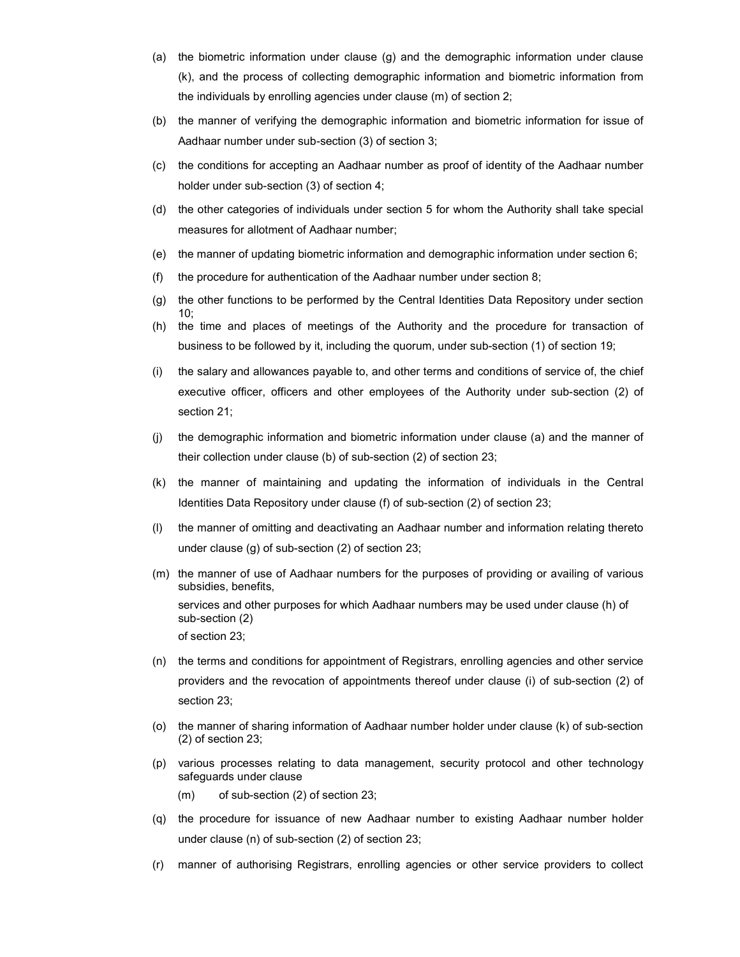- (a) the biometric information under clause (g) and the demographic information under clause (k), and the process of collecting demographic information and biometric information from the individuals by enrolling agencies under clause (m) of section 2;
- (b) the manner of verifying the demographic information and biometric information for issue of Aadhaar number under sub-section (3) of section 3;
- (c) the conditions for accepting an Aadhaar number as proof of identity of the Aadhaar number holder under sub-section (3) of section 4;
- (d) the other categories of individuals under section 5 for whom the Authority shall take special measures for allotment of Aadhaar number;
- (e) the manner of updating biometric information and demographic information under section 6;
- (f) the procedure for authentication of the Aadhaar number under section 8;
- (g) the other functions to be performed by the Central Identities Data Repository under section 10;
- (h) the time and places of meetings of the Authority and the procedure for transaction of business to be followed by it, including the quorum, under sub-section (1) of section 19;
- (i) the salary and allowances payable to, and other terms and conditions of service of, the chief executive officer, officers and other employees of the Authority under sub-section (2) of section 21;
- (j) the demographic information and biometric information under clause (a) and the manner of their collection under clause (b) of sub-section (2) of section 23;
- (k) the manner of maintaining and updating the information of individuals in the Central Identities Data Repository under clause (f) of sub-section (2) of section 23;
- (l) the manner of omitting and deactivating an Aadhaar number and information relating thereto under clause (g) of sub-section (2) of section 23;
- (m) the manner of use of Aadhaar numbers for the purposes of providing or availing of various subsidies, benefits, services and other purposes for which Aadhaar numbers may be used under clause (h) of sub-section (2) of section 23;
- (n) the terms and conditions for appointment of Registrars, enrolling agencies and other service providers and the revocation of appointments thereof under clause (i) of sub-section (2) of section 23;
- (o) the manner of sharing information of Aadhaar number holder under clause (k) of sub-section (2) of section 23;
- (p) various processes relating to data management, security protocol and other technology safeguards under clause
	- (m) of sub-section (2) of section 23;
- (q) the procedure for issuance of new Aadhaar number to existing Aadhaar number holder under clause (n) of sub-section (2) of section 23;
- (r) manner of authorising Registrars, enrolling agencies or other service providers to collect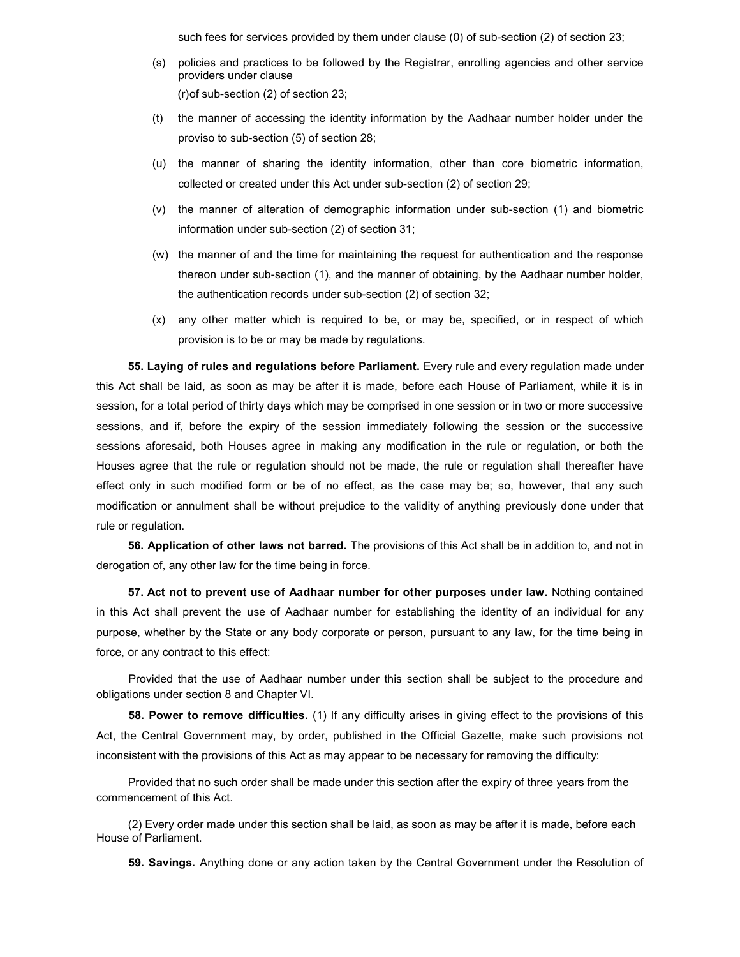such fees for services provided by them under clause (0) of sub-section (2) of section 23;

- (s) policies and practices to be followed by the Registrar, enrolling agencies and other service providers under clause (r) of sub-section (2) of section 23;
- (t) the manner of accessing the identity information by the Aadhaar number holder under the proviso to sub-section (5) of section 28;
- (u) the manner of sharing the identity information, other than core biometric information, collected or created under this Act under sub-section (2) of section 29;
- (v) the manner of alteration of demographic information under sub-section (1) and biometric information under sub-section (2) of section 31;
- (w) the manner of and the time for maintaining the request for authentication and the response thereon under sub-section (1), and the manner of obtaining, by the Aadhaar number holder, the authentication records under sub-section (2) of section 32;
- (x) any other matter which is required to be, or may be, specified, or in respect of which provision is to be or may be made by regulations.

55. Laying of rules and regulations before Parliament. Every rule and every regulation made under this Act shall be laid, as soon as may be after it is made, before each House of Parliament, while it is in session, for a total period of thirty days which may be comprised in one session or in two or more successive sessions, and if, before the expiry of the session immediately following the session or the successive sessions aforesaid, both Houses agree in making any modification in the rule or regulation, or both the Houses agree that the rule or regulation should not be made, the rule or regulation shall thereafter have effect only in such modified form or be of no effect, as the case may be; so, however, that any such modification or annulment shall be without prejudice to the validity of anything previously done under that rule or regulation.

56. Application of other laws not barred. The provisions of this Act shall be in addition to, and not in derogation of, any other law for the time being in force.

57. Act not to prevent use of Aadhaar number for other purposes under law. Nothing contained in this Act shall prevent the use of Aadhaar number for establishing the identity of an individual for any purpose, whether by the State or any body corporate or person, pursuant to any law, for the time being in force, or any contract to this effect:

Provided that the use of Aadhaar number under this section shall be subject to the procedure and obligations under section 8 and Chapter VI.

58. Power to remove difficulties. (1) If any difficulty arises in giving effect to the provisions of this Act, the Central Government may, by order, published in the Official Gazette, make such provisions not inconsistent with the provisions of this Act as may appear to be necessary for removing the difficulty:

Provided that no such order shall be made under this section after the expiry of three years from the commencement of this Act.

(2) Every order made under this section shall be laid, as soon as may be after it is made, before each House of Parliament.

59. Savings. Anything done or any action taken by the Central Government under the Resolution of